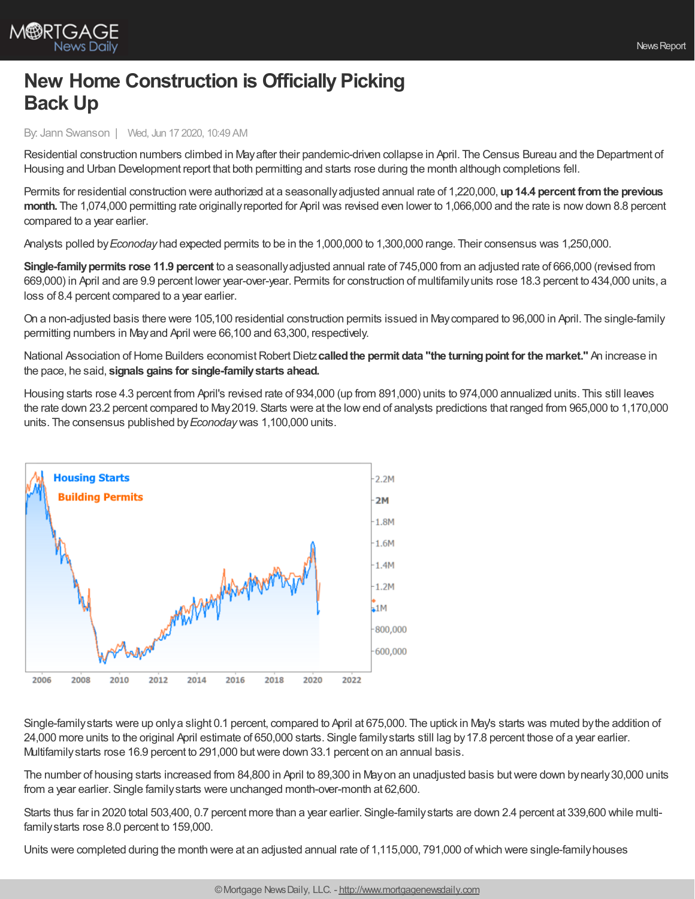

## **New Home Construction is Officially Picking Back Up**

By: Jann Swanson | Wed, Jun 17 2020, 10:49 AM

Residential construction numbers climbed in Mayafter their pandemic-driven collapse in April. The Census Bureau and the Department of Housing and Urban Development report that both permitting and starts rose during the month although completions fell.

Permits for residential construction were authorized at a seasonallyadjusted annual rate of 1,220,000, **up14.4 percent fromthe previous month.** The 1,074,000 permitting rate originallyreported for April was revised even lower to 1,066,000 and the rate is nowdown 8.8 percent compared to a year earlier.

Analysts polled by*Econoday* had expected permits to be in the 1,000,000 to 1,300,000 range. Their consensus was 1,250,000.

**Single-family permits rose 11.9 percent** to a seasonally adjusted annual rate of 745,000 from an adjusted rate of 666,000 (revised from 669,000) in April and are 9.9 percent lower year-over-year. Permits for construction of multifamilyunits rose 18.3 percent to 434,000 units, a loss of 8.4 percent compared to a year earlier.

On a non-adjusted basis there were 105,100 residential construction permits issued in Maycompared to 96,000 in April. The single-family permitting numbers in Mayand April were 66,100 and 63,300, respectively.

National Association ofHome Builders economistRobertDietz**calledthe permit data "the turningpoint for the market."** An increase in the pace, he said, **signals gains for single-familystarts ahead.**

Housing starts rose 4.3 percent from April's revised rate of 934,000 (up from 891,000) units to 974,000 annualized units. This still leaves the rate down 23.2 percent compared to May2019. Starts were at the lowend of analysts predictions that ranged from 965,000 to 1,170,000 units. The consensus published by*Econoday*was 1,100,000 units.



Single-familystarts were up onlya slight 0.1 percent, compared to April at 675,000. The uptick in May's starts was muted bythe addition of 24,000 more units to the original April estimate of 650,000 starts. Single familystarts still lag by17.8 percent those of a year earlier. Multifamilystarts rose 16.9 percent to 291,000 butwere down 33.1 percent on an annual basis.

The number of housing starts increased from 84,800 in April to 89,300 in Mayon an unadjusted basis butwere down bynearly30,000 units from a year earlier. Single familystarts were unchanged month-over-month at 62,600.

Starts thus far in 2020 total 503,400, 0.7 percent more than a year earlier. Single-familystarts are down 2.4 percent at 339,600 while multifamilystarts rose 8.0 percent to 159,000.

Units were completed during the month were at an adjusted annual rate of 1,115,000, 791,000 ofwhich were single-familyhouses